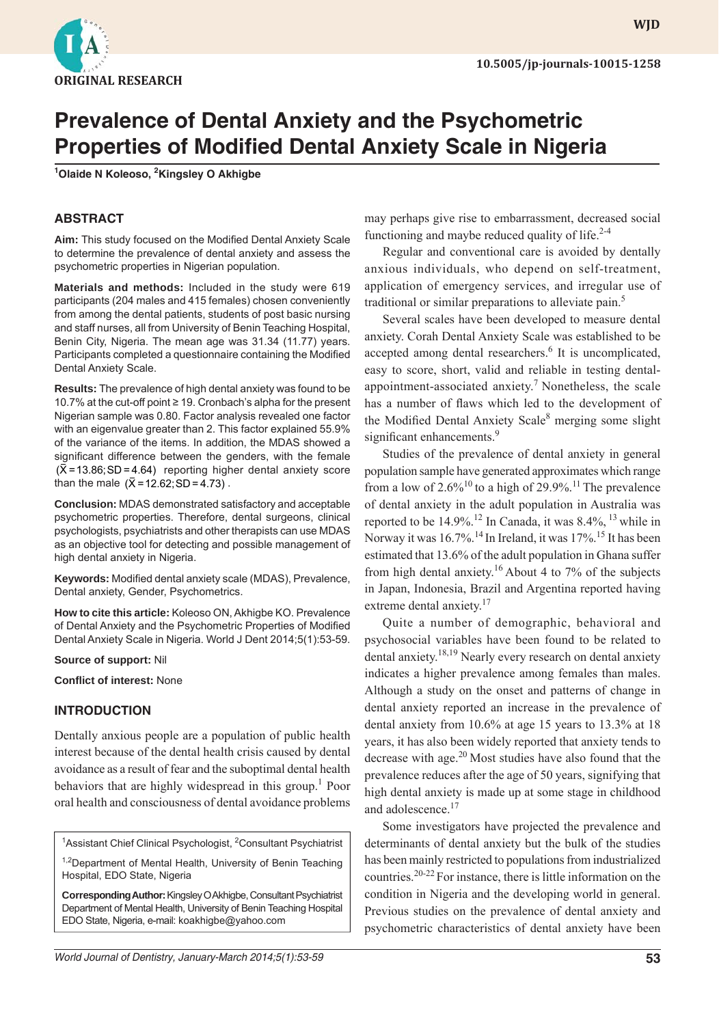

**WJD**

# **Prevalence of Dental Anxiety and the Psychometric Properties of Modified Dental Anxiety Scale in Nigeria**

**1 Olaide N Koleoso, 2 Kingsley O Akhigbe**

### **ABSTRACT**

Aim: This study focused on the Modified Dental Anxiety Scale to determine the prevalence of dental anxiety and assess the psychometric properties in Nigerian population.

**Materials and methods:** Included in the study were 619 participants (204 males and 415 females) chosen conveniently from among the dental patients, students of post basic nursing and staff nurses, all from University of Benin Teaching Hospital, Benin City, Nigeria. The mean age was 31.34 (11.77) years. Participants completed a questionnaire containing the Modified Dental Anxiety Scale.

**Results:** The prevalence of high dental anxiety was found to be 10.7% at the cut-off point ≥ 19. Cronbach's alpha for the present Nigerian sample was 0.80. Factor analysis revealed one factor with an eigenvalue greater than 2. This factor explained 55.9% of the variance of the items. In addition, the MDAS showed a significant difference between the genders, with the female  $(\overline{X} = 13.86; SD = 4.64)$  reporting higher dental anxiety score than the male  $({\bar X} = 12.62; SD = 4.73)$ .

**Conclusion:** MDAS demonstrated satisfactory and acceptable psychometric properties. Therefore, dental surgeons, clinical psychologists, psychiatrists and other therapists can use MDAS as an objective tool for detecting and possible management of high dental anxiety in Nigeria.

Keywords: Modified dental anxiety scale (MDAS), Prevalence, Dental anxiety, Gender, Psychometrics.

**How to cite this article:** Koleoso ON, Akhigbe KO. Prevalence of Dental Anxiety and the Psychometric Properties of Modified Dental Anxiety Scale in Nigeria. World J Dent 2014;5(1):53-59.

**Source of support:** Nil

**Conflict of interest: None** 

#### **INTRODUCTION**

Dentally anxious people are a population of public health interest because of the dental health crisis caused by dental avoidance as a result of fear and the suboptimal dental health behaviors that are highly widespread in this group.<sup>1</sup> Poor oral health and consciousness of dental avoidance problems

<sup>1</sup>Assistant Chief Clinical Psychologist, <sup>2</sup>Consultant Psychiatrist

<sup>1,2</sup>Department of Mental Health, University of Benin Teaching Hospital, EDO State, Nigeria

**Corresponding Author:** Kingsley O Akhigbe, Consultant Psychiatrist Department of Mental Health, University of Benin Teaching Hospital EDO State, Nigeria, e-mail: koakhigbe@yahoo.com

may perhaps give rise to embarrassment, decreased social functioning and maybe reduced quality of life. $2-4$ 

Regular and conventional care is avoided by dentally anxious individuals, who depend on self-treatment, application of emergency services, and irregular use of traditional or similar preparations to alleviate pain.<sup>5</sup>

Several scales have been developed to measure dental anxiety. Corah Dental Anxiety Scale was established to be accepted among dental researchers.<sup>6</sup> It is uncomplicated, easy to score, short, valid and reliable in testing dentalappointment-associated anxiety.<sup>7</sup> Nonetheless, the scale has a number of flaws which led to the development of the Modified Dental Anxiety Scale<sup>8</sup> merging some slight significant enhancements.<sup>9</sup>

Studies of the prevalence of dental anxiety in general population sample have generated approximates which range from a low of  $2.6\%^{10}$  to a high of 29.9%.<sup>11</sup> The prevalence of dental anxiety in the adult population in Australia was reported to be 14.9%.<sup>12</sup> In Canada, it was 8.4%, <sup>13</sup> while in Norway it was 16.7%.<sup>14</sup> In Ireland, it was 17%.<sup>15</sup> It has been estimated that 13.6% of the adult population in Ghana suffer from high dental anxiety.<sup>16</sup> About 4 to 7% of the subjects in Japan, Indonesia, Brazil and Argentina reported having extreme dental anxiety.<sup>17</sup>

Quite a number of demographic, behavioral and psychosocial variables have been found to be related to dental anxiety.<sup>18,19</sup> Nearly every research on dental anxiety indicates a higher prevalence among females than males. Although a study on the onset and patterns of change in dental anxiety reported an increase in the prevalence of dental anxiety from 10.6% at age 15 years to 13.3% at 18 years, it has also been widely reported that anxiety tends to decrease with age. $20$  Most studies have also found that the prevalence reduces after the age of 50 years, signifying that high dental anxiety is made up at some stage in childhood and adolescence.<sup>17</sup>

Some investigators have projected the prevalence and determinants of dental anxiety but the bulk of the studies has been mainly restricted to populations from industrialized countries.20-22 For instance, there is little information on the condition in Nigeria and the developing world in general. Previous studies on the prevalence of dental anxiety and psychometric characteristics of dental anxiety have been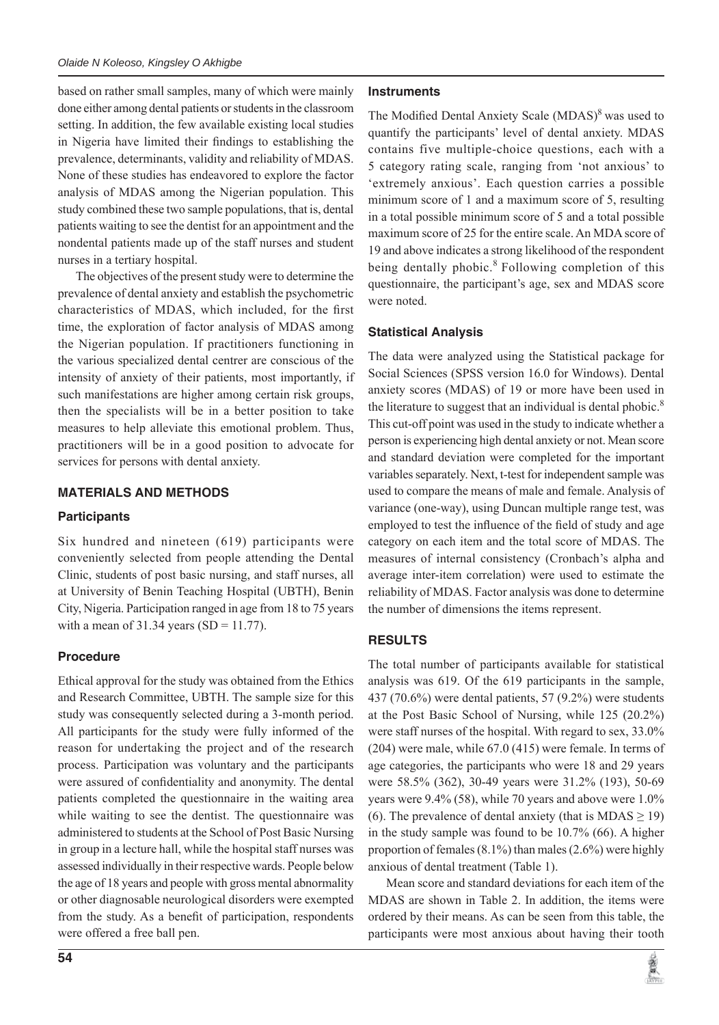based on rather small samples, many of which were mainly done either among dental patients or students in the classroom setting. In addition, the few available existing local studies in Nigeria have limited their findings to establishing the prevalence, determinants, validity and reliability of MDAS. None of these studies has endeavored to explore the factor analysis of MDAS among the Nigerian population. This study combined these two sample populations, that is, dental patients waiting to see the dentist for an appointment and the nondental patients made up of the staff nurses and student nurses in a tertiary hospital.

The objectives of the present study were to determine the prevalence of dental anxiety and establish the psychometric characteristics of MDAS, which included, for the first time, the exploration of factor analysis of MDAS among the Nigerian population. If practitioners functioning in the various specialized dental centrer are conscious of the intensity of anxiety of their patients, most importantly, if such manifestations are higher among certain risk groups, then the specialists will be in a better position to take measures to help alleviate this emotional problem. Thus, practitioners will be in a good position to advocate for services for persons with dental anxiety.

### **MATERIALS AND METHODS**

## **Participants**

Six hundred and nineteen (619) participants were conveniently selected from people attending the Dental Clinic, students of post basic nursing, and staff nurses, all at University of Benin Teaching Hospital (UBTH), Benin City, Nigeria. Participation ranged in age from 18 to 75 years with a mean of  $31.34$  years (SD = 11.77).

# **Procedure**

Ethical approval for the study was obtained from the Ethics and Research Committee, UBTH. The sample size for this study was consequently selected during a 3-month period. All participants for the study were fully informed of the reason for undertaking the project and of the research process. Participation was voluntary and the participants were assured of confidentiality and anonymity. The dental patients completed the questionnaire in the waiting area while waiting to see the dentist. The questionnaire was administered to students at the School of Post Basic Nursing in group in a lecture hall, while the hospital staff nurses was assessed individually in their respective wards. People below the age of 18 years and people with gross mental abnormality or other diagnosable neurological disorders were exempted from the study. As a benefit of participation, respondents were offered a free ball pen.

#### **Instruments**

The Modified Dental Anxiety Scale (MDAS)<sup>8</sup> was used to quantify the participants' level of dental anxiety. MDAS contains five multiple-choice questions, each with a 5 category rating scale, ranging from 'not anxious' to 'extremely anxious'. Each question carries a possible minimum score of 1 and a maximum score of 5, resulting in a total possible minimum score of 5 and a total possible maximum score of 25 for the entire scale. An MDA score of 19 and above indicates a strong likelihood of the respondent being dentally phobic.<sup>8</sup> Following completion of this questionnaire, the participant's age, sex and MDAS score were noted.

### **Statistical Analysis**

The data were analyzed using the Statistical package for Social Sciences (SPSS version 16.0 for Windows). Dental anxiety scores (MDAS) of 19 or more have been used in the literature to suggest that an individual is dental phobic.<sup>8</sup> This cut-off point was used in the study to indicate whether a person is experiencing high dental anxiety or not. Mean score and standard deviation were completed for the important variables separately. Next, t-test for independent sample was used to compare the means of male and female. Analysis of variance (one-way), using Duncan multiple range test, was employed to test the influence of the field of study and age category on each item and the total score of MDAS. The measures of internal consistency (Cronbach's alpha and average inter-item correlation) were used to estimate the reliability of MDAS. Factor analysis was done to determine the number of dimensions the items represent.

# **RESULTS**

The total number of participants available for statistical analysis was 619. Of the 619 participants in the sample, 437 (70.6%) were dental patients, 57 (9.2%) were students at the Post Basic School of Nursing, while 125 (20.2%) were staff nurses of the hospital. With regard to sex, 33.0% (204) were male, while 67.0 (415) were female. In terms of age categories, the participants who were 18 and 29 years were 58.5% (362), 30-49 years were 31.2% (193), 50-69 years were 9.4% (58), while 70 years and above were 1.0% (6). The prevalence of dental anxiety (that is  $MDAS \ge 19$ ) in the study sample was found to be 10.7% (66). A higher proportion of females (8.1%) than males (2.6%) were highly anxious of dental treatment (Table 1).

Mean score and standard deviations for each item of the MDAS are shown in Table 2. In addition, the items were ordered by their means. As can be seen from this table, the participants were most anxious about having their tooth

囊

**54**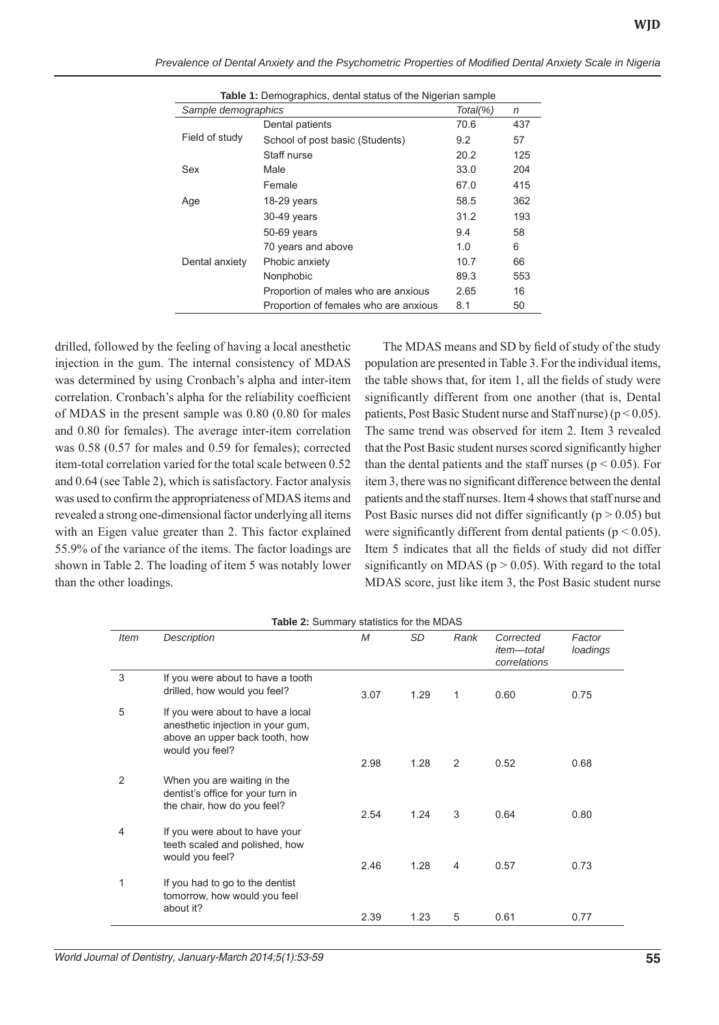| <b>Table 1:</b> Demographics, dental status of the Nigerian sample |                                       |      |     |  |  |
|--------------------------------------------------------------------|---------------------------------------|------|-----|--|--|
| Sample demographics                                                | $Total(\% )$                          | n    |     |  |  |
| Field of study                                                     | Dental patients                       | 70.6 | 437 |  |  |
|                                                                    | School of post basic (Students)       | 9.2  | 57  |  |  |
|                                                                    | Staff nurse                           | 20.2 | 125 |  |  |
| Sex                                                                | Male                                  | 33.0 | 204 |  |  |
|                                                                    | Female                                | 67.0 | 415 |  |  |
| Age                                                                | 18-29 years                           | 58.5 | 362 |  |  |
|                                                                    | 30-49 years                           | 31.2 | 193 |  |  |
|                                                                    | 50-69 years                           | 9.4  | 58  |  |  |
|                                                                    | 70 years and above                    | 1.0  | 6   |  |  |
| Dental anxiety                                                     | Phobic anxiety                        | 10.7 | 66  |  |  |
|                                                                    | Nonphobic                             | 89.3 | 553 |  |  |
|                                                                    | Proportion of males who are anxious   | 2.65 | 16  |  |  |
|                                                                    | Proportion of females who are anxious | 8.1  | 50  |  |  |

*Prevalence of Dental Anxiety and the Psychometric Properties of Modifi ed Dental Anxiety Scale in Nigeria*

drilled, followed by the feeling of having a local anesthetic injection in the gum. The internal consistency of MDAS was determined by using Cronbach's alpha and inter-item correlation. Cronbach's alpha for the reliability coefficient of MDAS in the present sample was 0.80 (0.80 for males and 0.80 for females). The average inter-item correlation was 0.58 (0.57 for males and 0.59 for females); corrected item-total correlation varied for the total scale between 0.52 and 0.64 (see Table 2), which is satisfactory. Factor analysis was used to confirm the appropriateness of MDAS items and revealed a strong one-dimensional factor underlying all items with an Eigen value greater than 2. This factor explained 55.9% of the variance of the items. The factor loadings are shown in Table 2. The loading of item 5 was notably lower than the other loadings.

The MDAS means and SD by field of study of the study population are presented in Table 3. For the individual items, the table shows that, for item 1, all the fields of study were significantly different from one another (that is, Dental patients, Post Basic Student nurse and Staff nurse) ( $p < 0.05$ ). The same trend was observed for item 2. Item 3 revealed that the Post Basic student nurses scored significantly higher than the dental patients and the staff nurses ( $p < 0.05$ ). For item 3, there was no significant difference between the dental patients and the staff nurses. Item 4 shows that staff nurse and Post Basic nurses did not differ significantly ( $p > 0.05$ ) but were significantly different from dental patients ( $p < 0.05$ ). Item 5 indicates that all the fields of study did not differ significantly on MDAS ( $p > 0.05$ ). With regard to the total MDAS score, just like item 3, the Post Basic student nurse

| <b>Item</b>   | Description                                                                                                                 | $\overline{M}$ | <b>SD</b> | Rank | Corrected<br><i>item-total</i><br>correlations | Factor<br>loadings |
|---------------|-----------------------------------------------------------------------------------------------------------------------------|----------------|-----------|------|------------------------------------------------|--------------------|
| 3             | If you were about to have a tooth<br>drilled, how would you feel?                                                           | 3.07           | 1.29      | 1    | 0.60                                           | 0.75               |
| 5             | If you were about to have a local<br>anesthetic injection in your gum,<br>above an upper back tooth, how<br>would you feel? |                |           |      |                                                |                    |
|               |                                                                                                                             | 2.98           | 1.28      | 2    | 0.52                                           | 0.68               |
| $\mathcal{P}$ | When you are waiting in the<br>dentist's office for your turn in<br>the chair, how do you feel?                             | 2.54           | 1.24      | 3    | 0.64                                           | 0.80               |
| 4             | If you were about to have your<br>teeth scaled and polished, how<br>would you feel?                                         | 2.46           | 1.28      | 4    | 0.57                                           | 0.73               |
| 1             | If you had to go to the dentist<br>tomorrow, how would you feel<br>about it?                                                |                |           |      |                                                |                    |
|               |                                                                                                                             | 2.39           | 1.23      | 5    | 0.61                                           | 0.77               |

**Table 2:** Summary statistics for the MDAS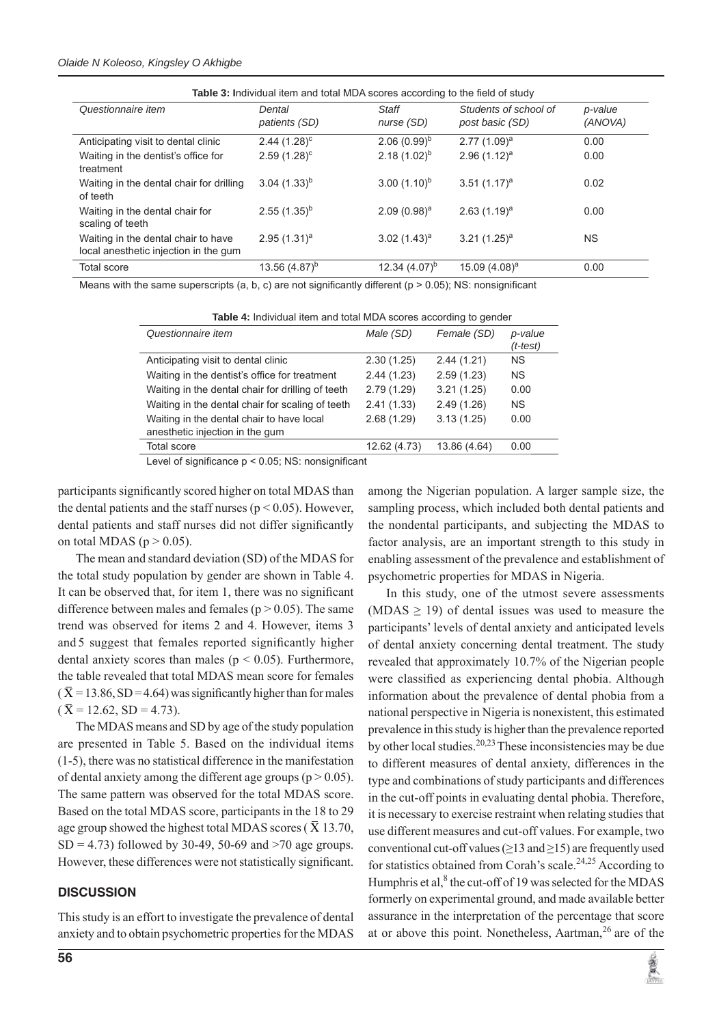#### *Olaide N Koleoso, Kingsley O Akhigbe*

| Table 3: Individual item and total MDA scores according to the field of study |                         |                     |                                          |                    |  |  |
|-------------------------------------------------------------------------------|-------------------------|---------------------|------------------------------------------|--------------------|--|--|
| Questionnaire item                                                            | Dental<br>patients (SD) | Staff<br>nurse (SD) | Students of school of<br>post basic (SD) | p-value<br>(ANOVA) |  |  |
| Anticipating visit to dental clinic                                           | $2.44(1.28)^c$          | $2.06(0.99)^{b}$    | $2.77(1.09)^a$                           | 0.00               |  |  |
| Waiting in the dentist's office for<br>treatment                              | $2.59(1.28)^c$          | 2.18 $(1.02)^{b}$   | $2.96(1.12)^a$                           | 0.00               |  |  |
| Waiting in the dental chair for drilling<br>of teeth                          | $(1.33)^{b}$            | $(1.10)^{b}$        | $3.51(1.17)^a$                           | 0.02               |  |  |
| Waiting in the dental chair for<br>scaling of teeth                           | $2.55(1.35)^{b}$        | $2.09(0.98)^a$      | $2.63(1.19)^a$                           | 0.00               |  |  |
| Waiting in the dental chair to have<br>local anesthetic injection in the gum  | $2.95(1.31)^a$          | 3.02 $(1.43)^a$     | 3.21 $(1.25)^a$                          | <b>NS</b>          |  |  |
| <b>Total score</b>                                                            | 13.56 $(4.87)^{b}$      | 12.34 $(4.07)^{b}$  | 15.09 $(4.08)^a$                         | 0.00               |  |  |

Means with the same superscripts (a, b, c) are not significantly different ( $p > 0.05$ ); NS: nonsignificant

| Table 4: Individual item and total MDA scores according to gender |  |
|-------------------------------------------------------------------|--|
|-------------------------------------------------------------------|--|

| Questionnaire item                                | Male (SD)    | Female (SD)  | p-value<br>$(t-test)$ |
|---------------------------------------------------|--------------|--------------|-----------------------|
| Anticipating visit to dental clinic               | 2.30(1.25)   | 2.44(1.21)   | <b>NS</b>             |
| Waiting in the dentist's office for treatment     | 2.44(1.23)   | 2.59(1.23)   | <b>NS</b>             |
| Waiting in the dental chair for drilling of teeth | 2.79(1.29)   | 3.21(1.25)   | 0.00                  |
| Waiting in the dental chair for scaling of teeth  | 2.41(1.33)   | 2.49(1.26)   | <b>NS</b>             |
| Waiting in the dental chair to have local         | 2.68(1.29)   | 3.13(1.25)   | 0.00                  |
| anesthetic injection in the gum                   |              |              |                       |
| <b>Total score</b>                                | 12.62 (4.73) | 13.86 (4.64) | 0.00                  |
| .<br>$\cdots$                                     |              |              |                       |

Level of significance  $p < 0.05$ ; NS: nonsignificant

participants significantly scored higher on total MDAS than the dental patients and the staff nurses ( $p < 0.05$ ). However, dental patients and staff nurses did not differ significantly on total MDAS ( $p > 0.05$ ).

The mean and standard deviation (SD) of the MDAS for the total study population by gender are shown in Table 4. It can be observed that, for item 1, there was no significant difference between males and females ( $p > 0.05$ ). The same trend was observed for items 2 and 4. However, items 3 and 5 suggest that females reported significantly higher dental anxiety scores than males ( $p < 0.05$ ). Furthermore, the table revealed that total MDAS mean score for females  $(\overline{X} = 13.86, SD = 4.64)$  was significantly higher than for males  $(\bar{X} = 12.62, SD = 4.73).$ 

The MDAS means and SD by age of the study population are presented in Table 5. Based on the individual items (1-5), there was no statistical difference in the manifestation of dental anxiety among the different age groups ( $p > 0.05$ ). The same pattern was observed for the total MDAS score. Based on the total MDAS score, participants in the 18 to 29 age group showed the highest total MDAS scores ( $\bar{X}$  13.70,  $SD = 4.73$ ) followed by 30-49, 50-69 and  $>70$  age groups. However, these differences were not statistically significant.

#### **DISCUSSION**

This study is an effort to investigate the prevalence of dental anxiety and to obtain psychometric properties for the MDAS among the Nigerian population. A larger sample size, the sampling process, which included both dental patients and the nondental participants, and subjecting the MDAS to factor analysis, are an important strength to this study in enabling assessment of the prevalence and establishment of psychometric properties for MDAS in Nigeria.

In this study, one of the utmost severe assessments (MDAS  $\geq$  19) of dental issues was used to measure the participants' levels of dental anxiety and anticipated levels of dental anxiety concerning dental treatment. The study revealed that approximately 10.7% of the Nigerian people were classified as experiencing dental phobia. Although information about the prevalence of dental phobia from a national perspective in Nigeria is nonexistent, this estimated prevalence in this study is higher than the prevalence reported by other local studies.20,23 These inconsistencies may be due to different measures of dental anxiety, differences in the type and combinations of study participants and differences in the cut-off points in evaluating dental phobia. Therefore, it is necessary to exercise restraint when relating studies that use different measures and cut-off values. For example, two conventional cut-off values ( $\geq$ 13 and  $\geq$ 15) are frequently used for statistics obtained from Corah's scale.<sup>24,25</sup> According to Humphris et al, $8$  the cut-off of 19 was selected for the MDAS formerly on experimental ground, and made available better assurance in the interpretation of the percentage that score at or above this point. Nonetheless, Aartman,  $^{26}$  are of the

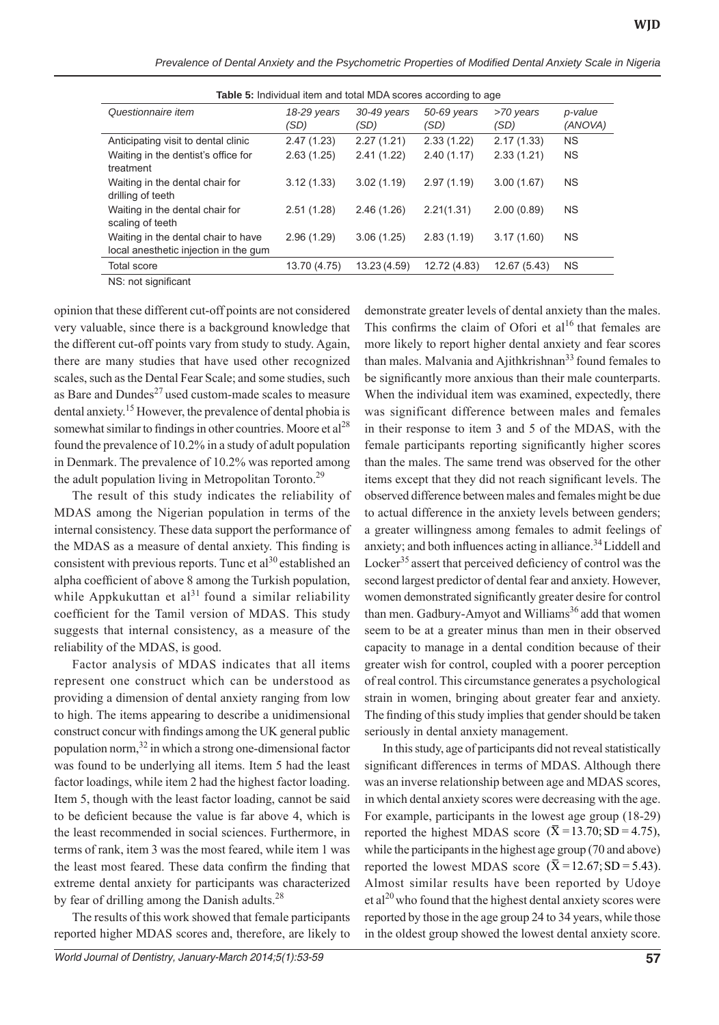| <b>Table 5:</b> Individual item and total MDA scores according to age        |                     |                     |                     |                   |                    |  |  |
|------------------------------------------------------------------------------|---------------------|---------------------|---------------------|-------------------|--------------------|--|--|
| Questionnaire item                                                           | 18-29 years<br>(SD) | 30-49 years<br>(SD) | 50-69 years<br>(SD) | >70 years<br>(SD) | p-value<br>(ANOVA) |  |  |
| Anticipating visit to dental clinic                                          | 2.47(1.23)          | 2.27(1.21)          | 2.33(1.22)          | 2.17(1.33)        | <b>NS</b>          |  |  |
| Waiting in the dentist's office for<br>treatment                             | 2.63(1.25)          | 2.41(1.22)          | 2.40(1.17)          | 2.33(1.21)        | <b>NS</b>          |  |  |
| Waiting in the dental chair for<br>drilling of teeth                         | 3.12(1.33)          | 3.02(1.19)          | 2.97(1.19)          | 3.00(1.67)        | <b>NS</b>          |  |  |
| Waiting in the dental chair for<br>scaling of teeth                          | 2.51(1.28)          | 2.46(1.26)          | 2.21(1.31)          | 2.00(0.89)        | <b>NS</b>          |  |  |
| Waiting in the dental chair to have<br>local anesthetic injection in the gum | 2.96(1.29)          | 3.06(1.25)          | 2.83(1.19)          | 3.17(1.60)        | <b>NS</b>          |  |  |
| <b>Total score</b>                                                           | 13.70 (4.75)        | 13.23 (4.59)        | 12.72 (4.83)        | 12.67 (5.43)      | <b>NS</b>          |  |  |

*Prevalence of Dental Anxiety and the Psychometric Properties of Modified Dental Anxiety Scale in Nigeria* 

 $\overline{\text{NS}}$ : not significant

opinion that these different cut-off points are not considered very valuable, since there is a background knowledge that the different cut-off points vary from study to study. Again, there are many studies that have used other recognized scales, such as the Dental Fear Scale; and some studies, such as Bare and Dundes<sup>27</sup> used custom-made scales to measure dental anxiety.15 However, the prevalence of dental phobia is somewhat similar to findings in other countries. Moore et  $al^{28}$ found the prevalence of 10.2% in a study of adult population in Denmark. The prevalence of 10.2% was reported among the adult population living in Metropolitan Toronto.<sup>29</sup>

The result of this study indicates the reliability of MDAS among the Nigerian population in terms of the internal consistency. These data support the performance of the MDAS as a measure of dental anxiety. This finding is consistent with previous reports. Tunc et al<sup>30</sup> established an alpha coefficient of above 8 among the Turkish population, while Appkukuttan et al<sup>31</sup> found a similar reliability coefficient for the Tamil version of MDAS. This study suggests that internal consistency, as a measure of the reliability of the MDAS, is good.

Factor analysis of MDAS indicates that all items represent one construct which can be understood as providing a dimension of dental anxiety ranging from low to high. The items appearing to describe a unidimensional construct concur with findings among the UK general public population norm,32 in which a strong one-dimensional factor was found to be underlying all items. Item 5 had the least factor loadings, while item 2 had the highest factor loading. Item 5, though with the least factor loading, cannot be said to be deficient because the value is far above 4, which is the least recommended in social sciences. Furthermore, in terms of rank, item 3 was the most feared, while item 1 was the least most feared. These data confirm the finding that extreme dental anxiety for participants was characterized by fear of drilling among the Danish adults. $28$ 

The results of this work showed that female participants reported higher MDAS scores and, therefore, are likely to

demonstrate greater levels of dental anxiety than the males. This confirms the claim of Ofori et  $al^{16}$  that females are more likely to report higher dental anxiety and fear scores than males. Malvania and Ajithkrishnan<sup>33</sup> found females to be significantly more anxious than their male counterparts. When the individual item was examined, expectedly, there was significant difference between males and females in their response to item 3 and 5 of the MDAS, with the female participants reporting significantly higher scores than the males. The same trend was observed for the other items except that they did not reach significant levels. The observed difference between males and females might be due to actual difference in the anxiety levels between genders; a greater willingness among females to admit feelings of anxiety; and both influences acting in alliance. $34$  Liddell and Locker<sup>35</sup> assert that perceived deficiency of control was the second largest predictor of dental fear and anxiety. However, women demonstrated significantly greater desire for control than men. Gadbury-Amyot and Williams<sup>36</sup> add that women seem to be at a greater minus than men in their observed capacity to manage in a dental condition because of their greater wish for control, coupled with a poorer perception of real control. This circumstance generates a psychological strain in women, bringing about greater fear and anxiety. The finding of this study implies that gender should be taken seriously in dental anxiety management.

In this study, age of participants did not reveal statistically significant differences in terms of MDAS. Although there was an inverse relationship between age and MDAS scores, in which dental anxiety scores were decreasing with the age. For example, participants in the lowest age group (18-29) reported the highest MDAS score ( $\overline{X}$  = 13.70; SD = 4.75), while the participants in the highest age group (70 and above) reported the lowest MDAS score  $(\overline{X} = 12.67; SD = 5.43)$ . Almost similar results have been reported by Udoye  $et al<sup>20</sup>$  who found that the highest dental anxiety scores were reported by those in the age group 24 to 34 years, while those in the oldest group showed the lowest dental anxiety score.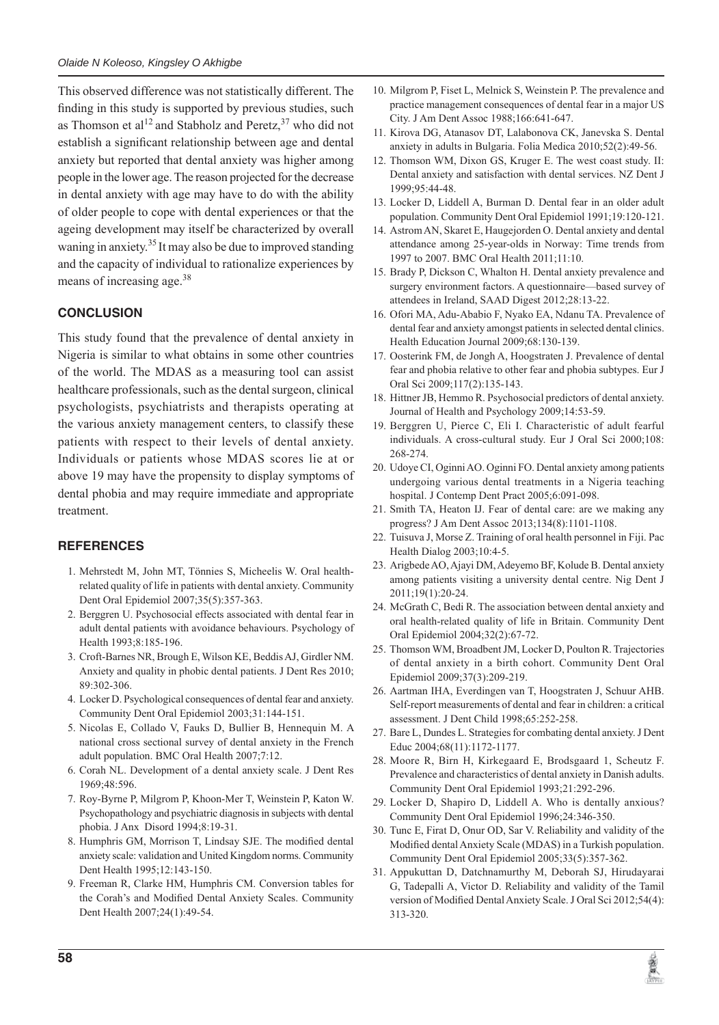This observed difference was not statistically different. The finding in this study is supported by previous studies, such as Thomson et al<sup>12</sup> and Stabholz and Peretz,  $37$  who did not establish a significant relationship between age and dental anxiety but reported that dental anxiety was higher among people in the lower age. The reason projected for the decrease in dental anxiety with age may have to do with the ability of older people to cope with dental experiences or that the ageing development may itself be characterized by overall waning in anxiety.<sup>35</sup> It may also be due to improved standing and the capacity of individual to rationalize experiences by means of increasing age.<sup>38</sup>

# **CONCLUSION**

This study found that the prevalence of dental anxiety in Nigeria is similar to what obtains in some other countries of the world. The MDAS as a measuring tool can assist healthcare professionals, such as the dental surgeon, clinical psychologists, psychiatrists and therapists operating at the various anxiety management centers, to classify these patients with respect to their levels of dental anxiety. Individuals or patients whose MDAS scores lie at or above 19 may have the propensity to display symptoms of dental phobia and may require immediate and appropriate treatment.

# **REFERENCES**

- 1. Mehrstedt M, John MT, Tönnies S, Micheelis W. Oral healthrelated quality of life in patients with dental anxiety. Community Dent Oral Epidemiol 2007;35(5):357-363.
- 2. Berggren U. Psychosocial effects associated with dental fear in adult dental patients with avoidance behaviours. Psychology of Health 1993;8:185-196.
- 3. Croft-Barnes NR, Brough E, Wilson KE, Beddis AJ, Girdler NM. Anxiety and quality in phobic dental patients. J Dent Res 2010; 89:302-306.
- 4. Locker D. Psychological consequences of dental fear and anxiety. Community Dent Oral Epidemiol 2003;31:144-151.
- 5. Nicolas E, Collado V, Fauks D, Bullier B, Hennequin M. A national cross sectional survey of dental anxiety in the French adult population. BMC Oral Health 2007;7:12.
- 6. Corah NL. Development of a dental anxiety scale. J Dent Res 1969;48:596.
- 7. Roy-Byrne P, Milgrom P, Khoon-Mer T, Weinstein P, Katon W. Psychopathology and psychiatric diagnosis in subjects with dental phobia. J Anx Disord 1994;8:19-31.
- 8. Humphris GM, Morrison T, Lindsay SJE. The modified dental anxiety scale: validation and United Kingdom norms. Community Dent Health 1995;12:143-150.
- 9. Freeman R, Clarke HM, Humphris CM. Conversion tables for the Corah's and Modified Dental Anxiety Scales. Community Dent Health 2007;24(1):49-54.
- 10. Milgrom P, Fiset L, Melnick S, Weinstein P. The prevalence and practice management consequences of dental fear in a major US City. J Am Dent Assoc 1988;166:641-647.
- 11. Kirova DG, Atanasov DT, Lalabonova CK, Janevska S. Dental anxiety in adults in Bulgaria. Folia Medica 2010;52(2):49-56.
- 12. Thomson WM, Dixon GS, Kruger E. The west coast study. II: Dental anxiety and satisfaction with dental services. NZ Dent J 1999;95:44-48.
- 13. Locker D, Liddell A, Burman D. Dental fear in an older adult population. Community Dent Oral Epidemiol 1991;19:120-121.
- 14. Astrom AN, Skaret E, Haugejorden O. Dental anxiety and dental attendance among 25-year-olds in Norway: Time trends from 1997 to 2007. BMC Oral Health 2011;11:10.
- 15. Brady P, Dickson C, Whalton H. Dental anxiety prevalence and surgery environment factors. A questionnaire—based survey of attendees in Ireland, SAAD Digest 2012;28:13-22.
- 16. Ofori MA, Adu-Ababio F, Nyako EA, Ndanu TA. Prevalence of dental fear and anxiety amongst patients in selected dental clinics. Health Education Journal 2009;68:130-139.
- 17. Oosterink FM, de Jongh A, Hoogstraten J. Prevalence of dental fear and phobia relative to other fear and phobia subtypes. Eur J Oral Sci 2009;117(2):135-143.
- 18. Hittner JB, Hemmo R. Psychosocial predictors of dental anxiety. Journal of Health and Psychology 2009;14:53-59.
- 19. Berggren U, Pierce C, Eli I. Characteristic of adult fearful individuals. A cross-cultural study. Eur J Oral Sci 2000;108: 268-274.
- 20. Udoye CI, Oginni AO. Oginni FO. Dental anxiety among patients undergoing various dental treatments in a Nigeria teaching hospital. J Contemp Dent Pract 2005;6:091-098.
- 21. Smith TA, Heaton IJ. Fear of dental care: are we making any progress? J Am Dent Assoc 2013;134(8):1101-1108.
- 22. Tuisuva J, Morse Z. Training of oral health personnel in Fiji. Pac Health Dialog 2003;10:4-5.
- 23. Arigbede AO, Ajayi DM, Adeyemo BF, Kolude B. Dental anxiety among patients visiting a university dental centre. Nig Dent J 2011;19(1):20-24.
- 24. McGrath C, Bedi R. The association between dental anxiety and oral health-related quality of life in Britain. Community Dent Oral Epidemiol 2004;32(2):67-72.
- 25. Thomson WM, Broadbent JM, Locker D, Poulton R. Trajectories of dental anxiety in a birth cohort. Community Dent Oral Epidemiol 2009;37(3):209-219.
- 26. Aartman IHA, Everdingen van T, Hoogstraten J, Schuur AHB. Self-report measurements of dental and fear in children: a critical assessment. J Dent Child 1998;65:252-258.
- 27. Bare L, Dundes L. Strategies for combating dental anxiety. J Dent Educ 2004;68(11):1172-1177.
- 28. Moore R, Birn H, Kirkegaard E, Brodsgaard 1, Scheutz F. Prevalence and characteristics of dental anxiety in Danish adults. Community Dent Oral Epidemiol 1993;21:292-296.
- 29. Locker D, Shapiro D, Liddell A. Who is dentally anxious? Community Dent Oral Epidemiol 1996;24:346-350.
- 30. Tunc E, Firat D, Onur OD, Sar V. Reliability and validity of the Modified dental Anxiety Scale (MDAS) in a Turkish population. Community Dent Oral Epidemiol 2005;33(5):357-362.
- 31. Appukuttan D, Datchnamurthy M, Deborah SJ, Hirudayarai G, Tadepalli A, Victor D. Reliability and validity of the Tamil version of Modified Dental Anxiety Scale. J Oral Sci 2012;54(4): 313-320.